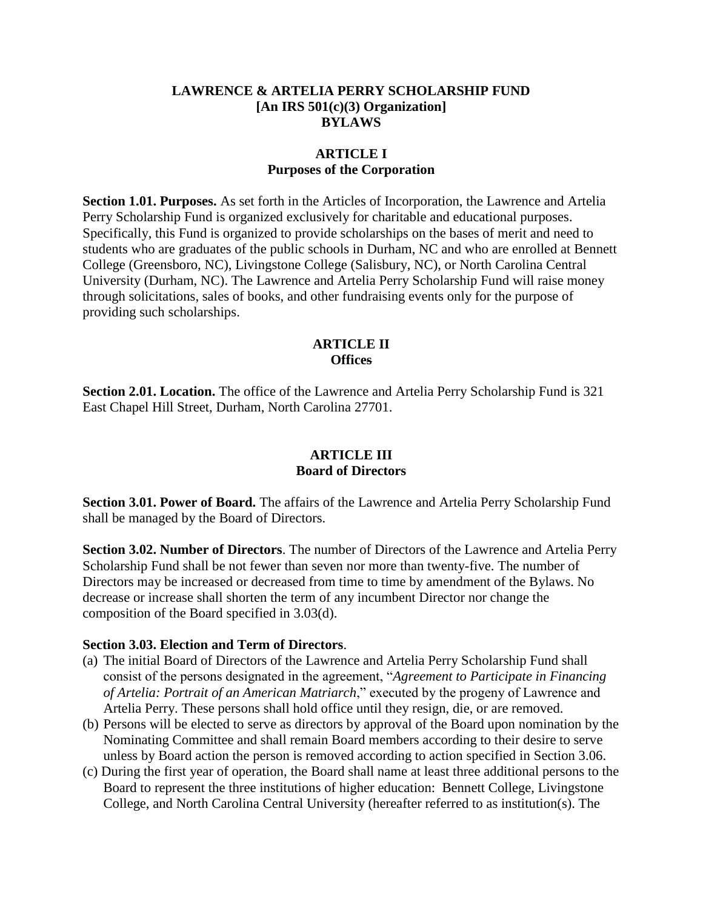#### **LAWRENCE & ARTELIA PERRY SCHOLARSHIP FUND [An IRS 501(c)(3) Organization] BYLAWS**

#### **ARTICLE I Purposes of the Corporation**

**Section 1.01. Purposes.** As set forth in the Articles of Incorporation, the Lawrence and Artelia Perry Scholarship Fund is organized exclusively for charitable and educational purposes. Specifically, this Fund is organized to provide scholarships on the bases of merit and need to students who are graduates of the public schools in Durham, NC and who are enrolled at Bennett College (Greensboro, NC), Livingstone College (Salisbury, NC), or North Carolina Central University (Durham, NC). The Lawrence and Artelia Perry Scholarship Fund will raise money through solicitations, sales of books, and other fundraising events only for the purpose of providing such scholarships.

#### **ARTICLE II Offices**

**Section 2.01. Location.** The office of the Lawrence and Artelia Perry Scholarship Fund is 321 East Chapel Hill Street, Durham, North Carolina 27701.

#### **ARTICLE III Board of Directors**

**Section 3.01. Power of Board.** The affairs of the Lawrence and Artelia Perry Scholarship Fund shall be managed by the Board of Directors.

**Section 3.02. Number of Directors**. The number of Directors of the Lawrence and Artelia Perry Scholarship Fund shall be not fewer than seven nor more than twenty-five. The number of Directors may be increased or decreased from time to time by amendment of the Bylaws. No decrease or increase shall shorten the term of any incumbent Director nor change the composition of the Board specified in 3.03(d).

#### **Section 3.03. Election and Term of Directors**.

- (a) The initial Board of Directors of the Lawrence and Artelia Perry Scholarship Fund shall consist of the persons designated in the agreement, "*Agreement to Participate in Financing of Artelia: Portrait of an American Matriarch*," executed by the progeny of Lawrence and Artelia Perry. These persons shall hold office until they resign, die, or are removed.
- (b) Persons will be elected to serve as directors by approval of the Board upon nomination by the Nominating Committee and shall remain Board members according to their desire to serve unless by Board action the person is removed according to action specified in Section 3.06.
- (c) During the first year of operation, the Board shall name at least three additional persons to the Board to represent the three institutions of higher education: Bennett College, Livingstone College, and North Carolina Central University (hereafter referred to as institution(s). The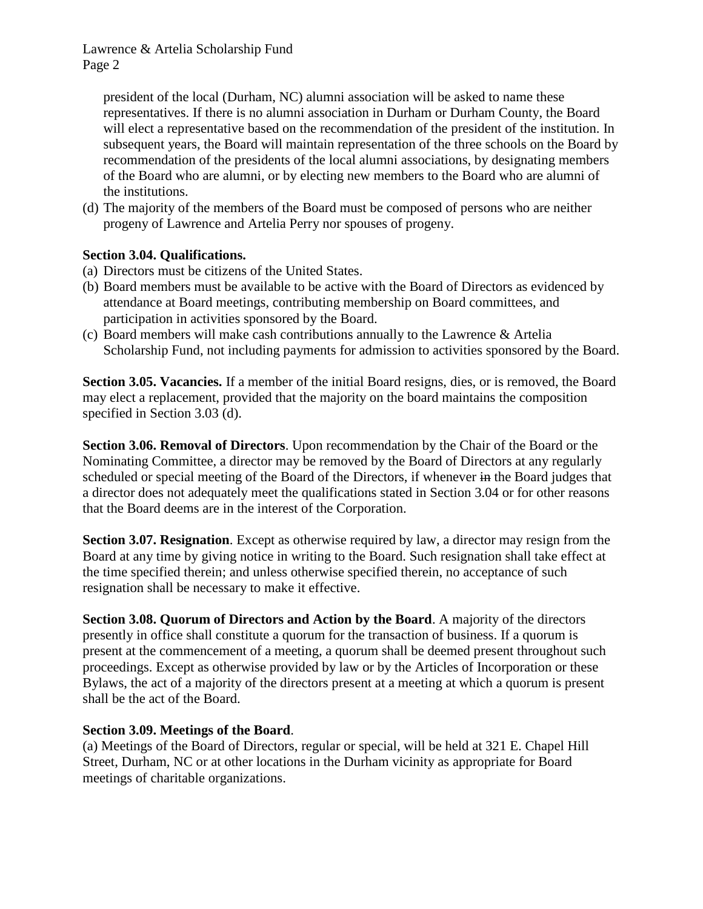president of the local (Durham, NC) alumni association will be asked to name these representatives. If there is no alumni association in Durham or Durham County, the Board will elect a representative based on the recommendation of the president of the institution. In subsequent years, the Board will maintain representation of the three schools on the Board by recommendation of the presidents of the local alumni associations, by designating members of the Board who are alumni, or by electing new members to the Board who are alumni of the institutions.

(d) The majority of the members of the Board must be composed of persons who are neither progeny of Lawrence and Artelia Perry nor spouses of progeny.

# **Section 3.04. Qualifications.**

- (a) Directors must be citizens of the United States.
- (b) Board members must be available to be active with the Board of Directors as evidenced by attendance at Board meetings, contributing membership on Board committees, and participation in activities sponsored by the Board.
- (c) Board members will make cash contributions annually to the Lawrence & Artelia Scholarship Fund, not including payments for admission to activities sponsored by the Board.

**Section 3.05. Vacancies.** If a member of the initial Board resigns, dies, or is removed, the Board may elect a replacement, provided that the majority on the board maintains the composition specified in Section 3.03 (d).

**Section 3.06. Removal of Directors**. Upon recommendation by the Chair of the Board or the Nominating Committee, a director may be removed by the Board of Directors at any regularly scheduled or special meeting of the Board of the Directors, if whenever in the Board judges that a director does not adequately meet the qualifications stated in Section 3.04 or for other reasons that the Board deems are in the interest of the Corporation.

**Section 3.07. Resignation**. Except as otherwise required by law, a director may resign from the Board at any time by giving notice in writing to the Board. Such resignation shall take effect at the time specified therein; and unless otherwise specified therein, no acceptance of such resignation shall be necessary to make it effective.

**Section 3.08. Quorum of Directors and Action by the Board**. A majority of the directors presently in office shall constitute a quorum for the transaction of business. If a quorum is present at the commencement of a meeting, a quorum shall be deemed present throughout such proceedings. Except as otherwise provided by law or by the Articles of Incorporation or these Bylaws, the act of a majority of the directors present at a meeting at which a quorum is present shall be the act of the Board.

# **Section 3.09. Meetings of the Board**.

(a) Meetings of the Board of Directors, regular or special, will be held at 321 E. Chapel Hill Street, Durham, NC or at other locations in the Durham vicinity as appropriate for Board meetings of charitable organizations.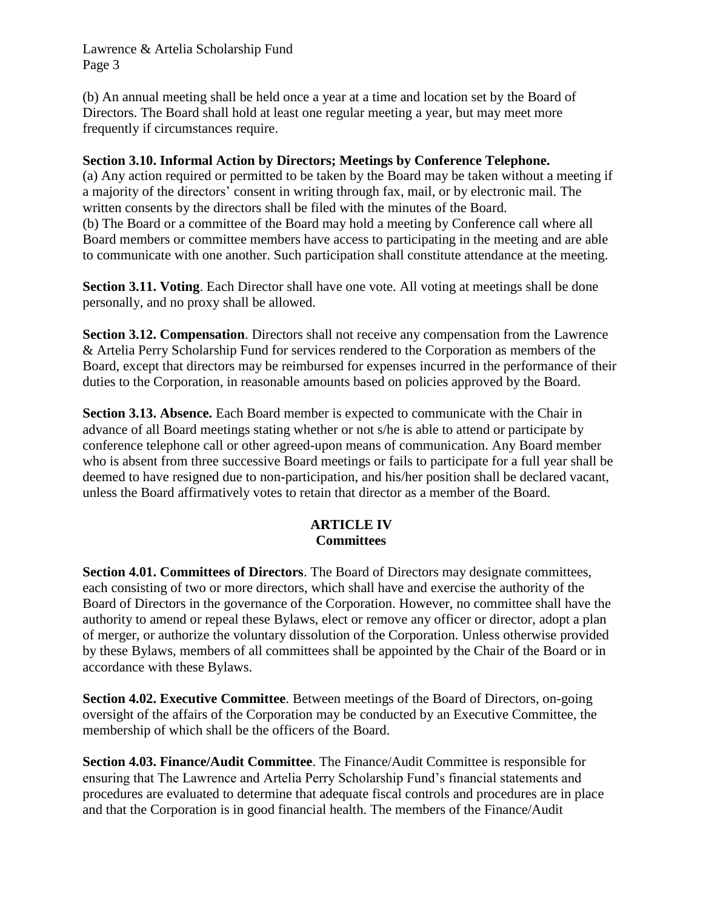(b) An annual meeting shall be held once a year at a time and location set by the Board of Directors. The Board shall hold at least one regular meeting a year, but may meet more frequently if circumstances require.

### **Section 3.10. Informal Action by Directors; Meetings by Conference Telephone.**

(a) Any action required or permitted to be taken by the Board may be taken without a meeting if a majority of the directors' consent in writing through fax, mail, or by electronic mail. The written consents by the directors shall be filed with the minutes of the Board. (b) The Board or a committee of the Board may hold a meeting by Conference call where all Board members or committee members have access to participating in the meeting and are able to communicate with one another. Such participation shall constitute attendance at the meeting.

**Section 3.11. Voting**. Each Director shall have one vote. All voting at meetings shall be done personally, and no proxy shall be allowed.

**Section 3.12. Compensation**. Directors shall not receive any compensation from the Lawrence & Artelia Perry Scholarship Fund for services rendered to the Corporation as members of the Board, except that directors may be reimbursed for expenses incurred in the performance of their duties to the Corporation, in reasonable amounts based on policies approved by the Board.

**Section 3.13. Absence.** Each Board member is expected to communicate with the Chair in advance of all Board meetings stating whether or not s/he is able to attend or participate by conference telephone call or other agreed-upon means of communication. Any Board member who is absent from three successive Board meetings or fails to participate for a full year shall be deemed to have resigned due to non-participation, and his/her position shall be declared vacant, unless the Board affirmatively votes to retain that director as a member of the Board.

#### **ARTICLE IV Committees**

**Section 4.01. Committees of Directors**. The Board of Directors may designate committees, each consisting of two or more directors, which shall have and exercise the authority of the Board of Directors in the governance of the Corporation. However, no committee shall have the authority to amend or repeal these Bylaws, elect or remove any officer or director, adopt a plan of merger, or authorize the voluntary dissolution of the Corporation. Unless otherwise provided by these Bylaws, members of all committees shall be appointed by the Chair of the Board or in accordance with these Bylaws.

**Section 4.02. Executive Committee**. Between meetings of the Board of Directors, on-going oversight of the affairs of the Corporation may be conducted by an Executive Committee, the membership of which shall be the officers of the Board.

**Section 4.03. Finance/Audit Committee**. The Finance/Audit Committee is responsible for ensuring that The Lawrence and Artelia Perry Scholarship Fund's financial statements and procedures are evaluated to determine that adequate fiscal controls and procedures are in place and that the Corporation is in good financial health. The members of the Finance/Audit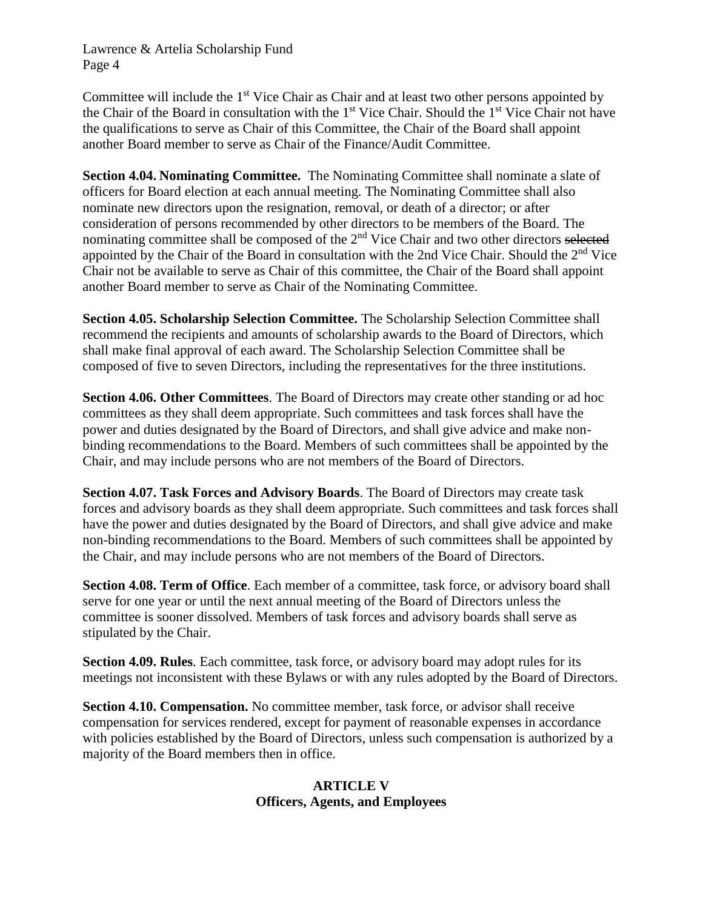Committee will include the 1<sup>st</sup> Vice Chair as Chair and at least two other persons appointed by the Chair of the Board in consultation with the  $1<sup>st</sup>$  Vice Chair. Should the  $1<sup>st</sup>$  Vice Chair not have the qualifications to serve as Chair of this Committee, the Chair of the Board shall appoint another Board member to serve as Chair of the Finance/Audit Committee.

**Section 4.04. Nominating Committee.** The Nominating Committee shall nominate a slate of officers for Board election at each annual meeting. The Nominating Committee shall also nominate new directors upon the resignation, removal, or death of a director; or after consideration of persons recommended by other directors to be members of the Board. The nominating committee shall be composed of the 2<sup>nd</sup> Vice Chair and two other directors selected appointed by the Chair of the Board in consultation with the 2nd Vice Chair. Should the 2nd Vice Chair not be available to serve as Chair of this committee, the Chair of the Board shall appoint another Board member to serve as Chair of the Nominating Committee.

**Section 4.05. Scholarship Selection Committee.** The Scholarship Selection Committee shall recommend the recipients and amounts of scholarship awards to the Board of Directors, which shall make final approval of each award. The Scholarship Selection Committee shall be composed of five to seven Directors, including the representatives for the three institutions.

**Section 4.06. Other Committees**. The Board of Directors may create other standing or ad hoc committees as they shall deem appropriate. Such committees and task forces shall have the power and duties designated by the Board of Directors, and shall give advice and make nonbinding recommendations to the Board. Members of such committees shall be appointed by the Chair, and may include persons who are not members of the Board of Directors.

**Section 4.07. Task Forces and Advisory Boards**. The Board of Directors may create task forces and advisory boards as they shall deem appropriate. Such committees and task forces shall have the power and duties designated by the Board of Directors, and shall give advice and make non-binding recommendations to the Board. Members of such committees shall be appointed by the Chair, and may include persons who are not members of the Board of Directors.

**Section 4.08. Term of Office**. Each member of a committee, task force, or advisory board shall serve for one year or until the next annual meeting of the Board of Directors unless the committee is sooner dissolved. Members of task forces and advisory boards shall serve as stipulated by the Chair.

**Section 4.09. Rules**. Each committee, task force, or advisory board may adopt rules for its meetings not inconsistent with these Bylaws or with any rules adopted by the Board of Directors.

**Section 4.10. Compensation.** No committee member, task force, or advisor shall receive compensation for services rendered, except for payment of reasonable expenses in accordance with policies established by the Board of Directors, unless such compensation is authorized by a majority of the Board members then in office.

# **ARTICLE V Officers, Agents, and Employees**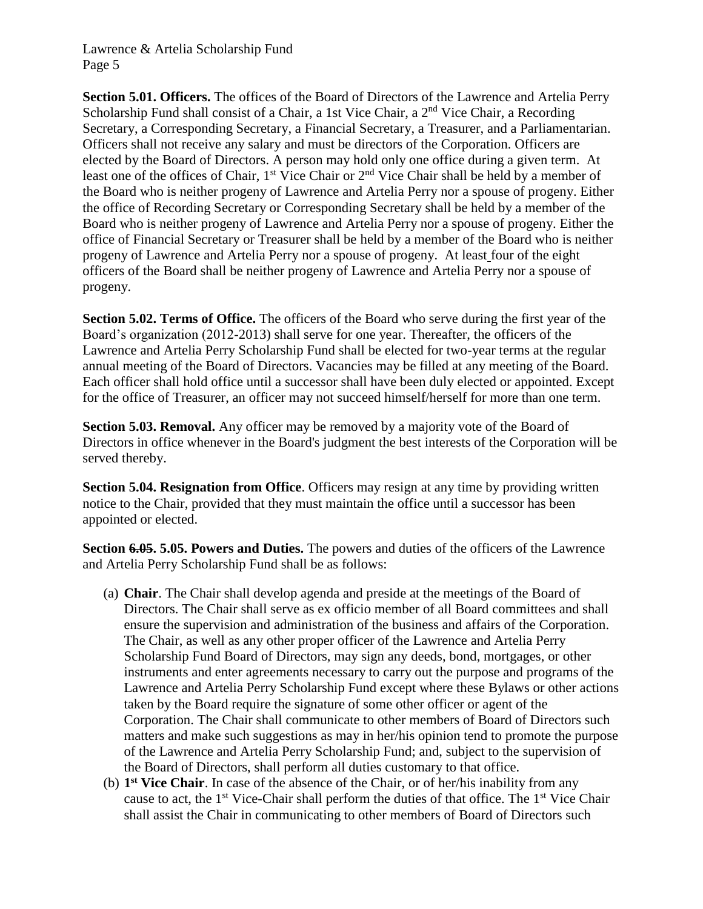**Section 5.01. Officers.** The offices of the Board of Directors of the Lawrence and Artelia Perry Scholarship Fund shall consist of a Chair, a 1st Vice Chair, a 2<sup>nd</sup> Vice Chair, a Recording Secretary, a Corresponding Secretary, a Financial Secretary, a Treasurer, and a Parliamentarian. Officers shall not receive any salary and must be directors of the Corporation. Officers are elected by the Board of Directors. A person may hold only one office during a given term. At least one of the offices of Chair, 1<sup>st</sup> Vice Chair or 2<sup>nd</sup> Vice Chair shall be held by a member of the Board who is neither progeny of Lawrence and Artelia Perry nor a spouse of progeny. Either the office of Recording Secretary or Corresponding Secretary shall be held by a member of the Board who is neither progeny of Lawrence and Artelia Perry nor a spouse of progeny. Either the office of Financial Secretary or Treasurer shall be held by a member of the Board who is neither progeny of Lawrence and Artelia Perry nor a spouse of progeny. At least four of the eight officers of the Board shall be neither progeny of Lawrence and Artelia Perry nor a spouse of progeny.

**Section 5.02. Terms of Office.** The officers of the Board who serve during the first year of the Board's organization (2012-2013) shall serve for one year. Thereafter, the officers of the Lawrence and Artelia Perry Scholarship Fund shall be elected for two-year terms at the regular annual meeting of the Board of Directors. Vacancies may be filled at any meeting of the Board. Each officer shall hold office until a successor shall have been duly elected or appointed. Except for the office of Treasurer, an officer may not succeed himself/herself for more than one term.

**Section 5.03. Removal.** Any officer may be removed by a majority vote of the Board of Directors in office whenever in the Board's judgment the best interests of the Corporation will be served thereby.

**Section 5.04. Resignation from Office**. Officers may resign at any time by providing written notice to the Chair, provided that they must maintain the office until a successor has been appointed or elected.

**Section 6.05. 5.05. Powers and Duties.** The powers and duties of the officers of the Lawrence and Artelia Perry Scholarship Fund shall be as follows:

- (a) **Chair**. The Chair shall develop agenda and preside at the meetings of the Board of Directors. The Chair shall serve as ex officio member of all Board committees and shall ensure the supervision and administration of the business and affairs of the Corporation. The Chair, as well as any other proper officer of the Lawrence and Artelia Perry Scholarship Fund Board of Directors, may sign any deeds, bond, mortgages, or other instruments and enter agreements necessary to carry out the purpose and programs of the Lawrence and Artelia Perry Scholarship Fund except where these Bylaws or other actions taken by the Board require the signature of some other officer or agent of the Corporation. The Chair shall communicate to other members of Board of Directors such matters and make such suggestions as may in her/his opinion tend to promote the purpose of the Lawrence and Artelia Perry Scholarship Fund; and, subject to the supervision of the Board of Directors, shall perform all duties customary to that office.
- (b) **1 st Vice Chair**. In case of the absence of the Chair, or of her/his inability from any cause to act, the  $1<sup>st</sup>$  Vice-Chair shall perform the duties of that office. The  $1<sup>st</sup>$  Vice Chair shall assist the Chair in communicating to other members of Board of Directors such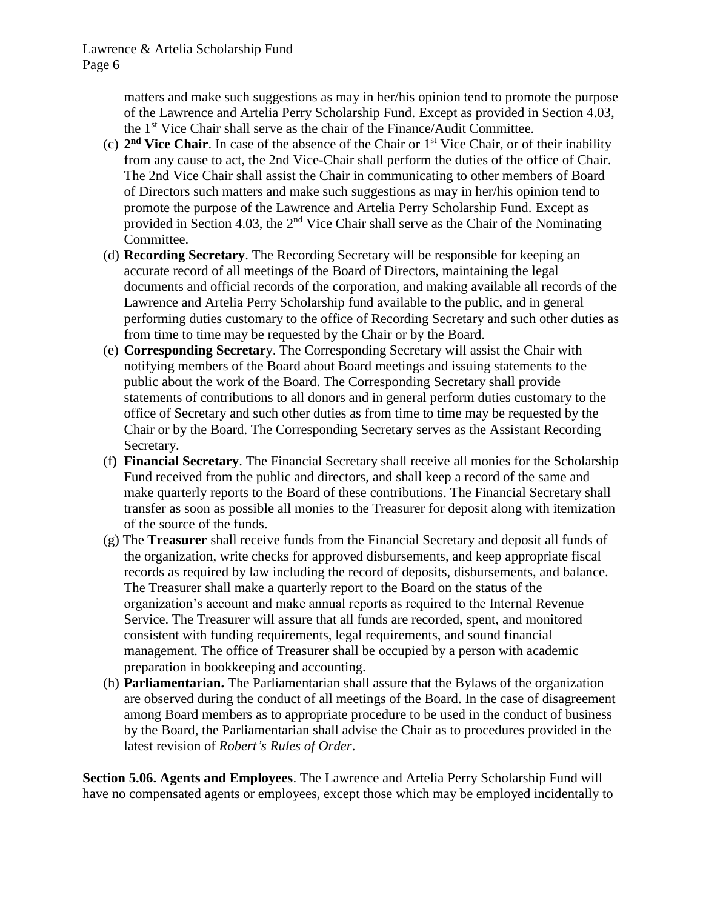matters and make such suggestions as may in her/his opinion tend to promote the purpose of the Lawrence and Artelia Perry Scholarship Fund. Except as provided in Section 4.03, the 1<sup>st</sup> Vice Chair shall serve as the chair of the Finance/Audit Committee.

- (c) **2 nd Vice Chair**. In case of the absence of the Chair or 1st Vice Chair, or of their inability from any cause to act, the 2nd Vice-Chair shall perform the duties of the office of Chair. The 2nd Vice Chair shall assist the Chair in communicating to other members of Board of Directors such matters and make such suggestions as may in her/his opinion tend to promote the purpose of the Lawrence and Artelia Perry Scholarship Fund. Except as provided in Section 4.03, the  $2<sup>nd</sup>$  Vice Chair shall serve as the Chair of the Nominating Committee.
- (d) **Recording Secretary**. The Recording Secretary will be responsible for keeping an accurate record of all meetings of the Board of Directors, maintaining the legal documents and official records of the corporation, and making available all records of the Lawrence and Artelia Perry Scholarship fund available to the public, and in general performing duties customary to the office of Recording Secretary and such other duties as from time to time may be requested by the Chair or by the Board.
- (e) **Corresponding Secretar**y. The Corresponding Secretary will assist the Chair with notifying members of the Board about Board meetings and issuing statements to the public about the work of the Board. The Corresponding Secretary shall provide statements of contributions to all donors and in general perform duties customary to the office of Secretary and such other duties as from time to time may be requested by the Chair or by the Board. The Corresponding Secretary serves as the Assistant Recording Secretary.
- (f**) Financial Secretary**. The Financial Secretary shall receive all monies for the Scholarship Fund received from the public and directors, and shall keep a record of the same and make quarterly reports to the Board of these contributions. The Financial Secretary shall transfer as soon as possible all monies to the Treasurer for deposit along with itemization of the source of the funds.
- (g) The **Treasurer** shall receive funds from the Financial Secretary and deposit all funds of the organization, write checks for approved disbursements, and keep appropriate fiscal records as required by law including the record of deposits, disbursements, and balance. The Treasurer shall make a quarterly report to the Board on the status of the organization's account and make annual reports as required to the Internal Revenue Service. The Treasurer will assure that all funds are recorded, spent, and monitored consistent with funding requirements, legal requirements, and sound financial management. The office of Treasurer shall be occupied by a person with academic preparation in bookkeeping and accounting.
- (h) **Parliamentarian.** The Parliamentarian shall assure that the Bylaws of the organization are observed during the conduct of all meetings of the Board. In the case of disagreement among Board members as to appropriate procedure to be used in the conduct of business by the Board, the Parliamentarian shall advise the Chair as to procedures provided in the latest revision of *Robert's Rules of Order*.

**Section 5.06. Agents and Employees**. The Lawrence and Artelia Perry Scholarship Fund will have no compensated agents or employees, except those which may be employed incidentally to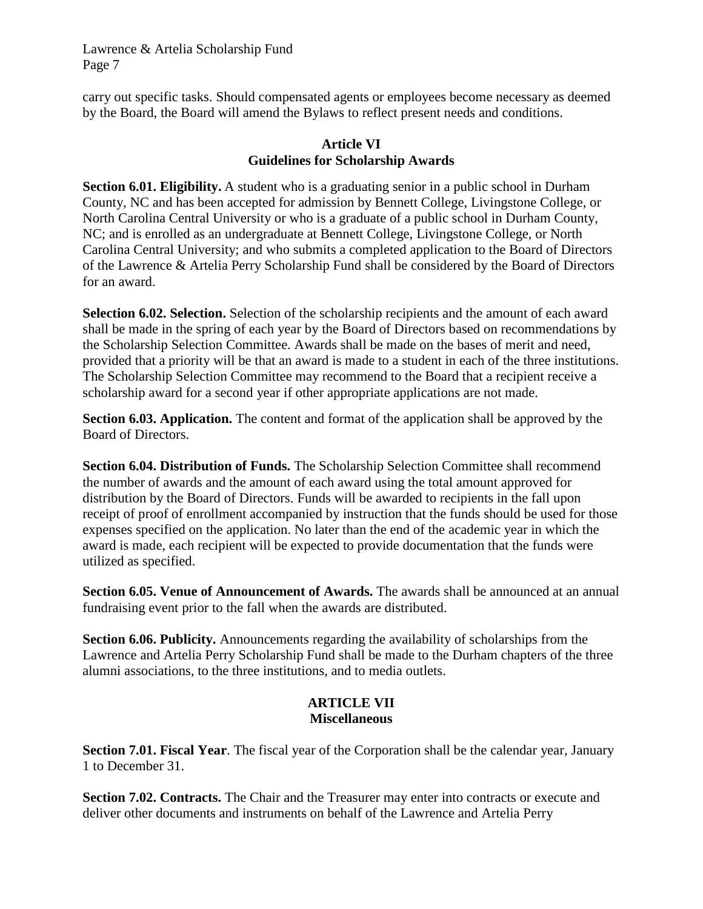carry out specific tasks. Should compensated agents or employees become necessary as deemed by the Board, the Board will amend the Bylaws to reflect present needs and conditions.

# **Article VI Guidelines for Scholarship Awards**

**Section 6.01. Eligibility.** A student who is a graduating senior in a public school in Durham County, NC and has been accepted for admission by Bennett College, Livingstone College, or North Carolina Central University or who is a graduate of a public school in Durham County, NC; and is enrolled as an undergraduate at Bennett College, Livingstone College, or North Carolina Central University; and who submits a completed application to the Board of Directors of the Lawrence & Artelia Perry Scholarship Fund shall be considered by the Board of Directors for an award.

**Selection 6.02. Selection.** Selection of the scholarship recipients and the amount of each award shall be made in the spring of each year by the Board of Directors based on recommendations by the Scholarship Selection Committee. Awards shall be made on the bases of merit and need, provided that a priority will be that an award is made to a student in each of the three institutions. The Scholarship Selection Committee may recommend to the Board that a recipient receive a scholarship award for a second year if other appropriate applications are not made.

**Section 6.03. Application.** The content and format of the application shall be approved by the Board of Directors.

**Section 6.04. Distribution of Funds.** The Scholarship Selection Committee shall recommend the number of awards and the amount of each award using the total amount approved for distribution by the Board of Directors. Funds will be awarded to recipients in the fall upon receipt of proof of enrollment accompanied by instruction that the funds should be used for those expenses specified on the application. No later than the end of the academic year in which the award is made, each recipient will be expected to provide documentation that the funds were utilized as specified.

**Section 6.05. Venue of Announcement of Awards.** The awards shall be announced at an annual fundraising event prior to the fall when the awards are distributed.

**Section 6.06. Publicity.** Announcements regarding the availability of scholarships from the Lawrence and Artelia Perry Scholarship Fund shall be made to the Durham chapters of the three alumni associations, to the three institutions, and to media outlets.

# **ARTICLE VII Miscellaneous**

**Section 7.01. Fiscal Year**. The fiscal year of the Corporation shall be the calendar year, January 1 to December 31.

**Section 7.02. Contracts.** The Chair and the Treasurer may enter into contracts or execute and deliver other documents and instruments on behalf of the Lawrence and Artelia Perry